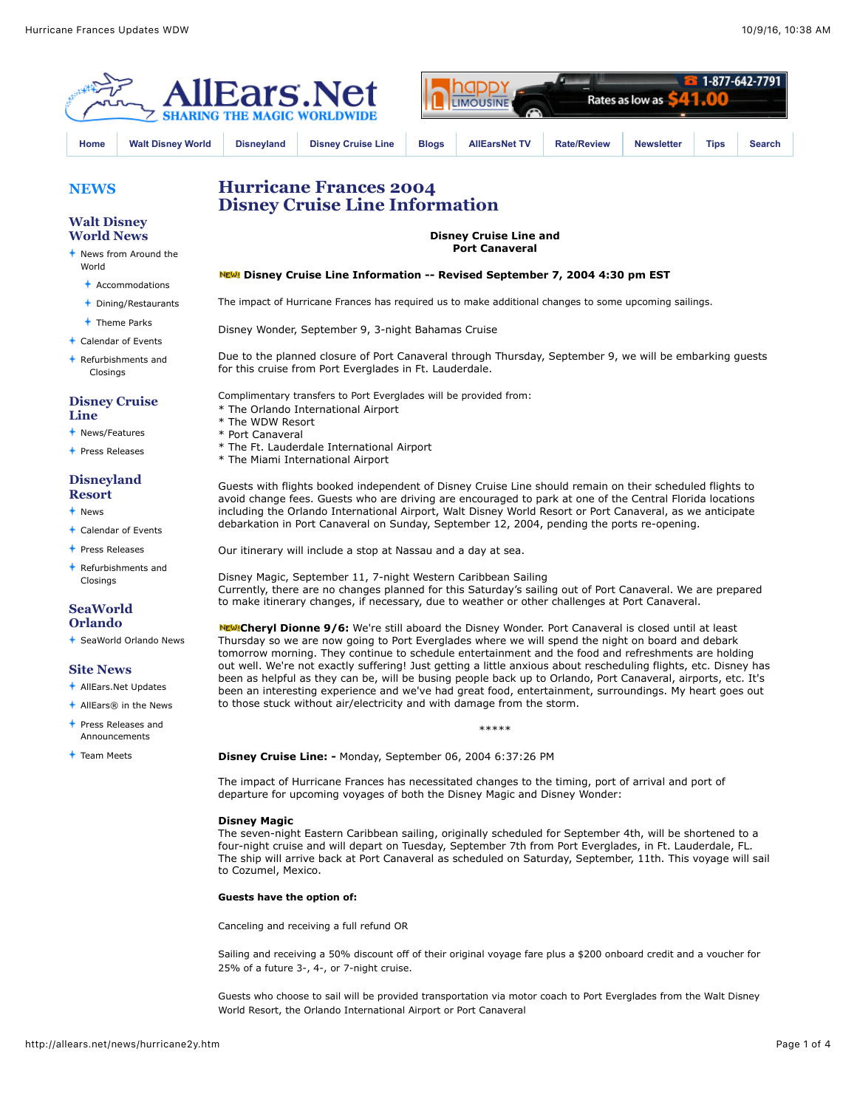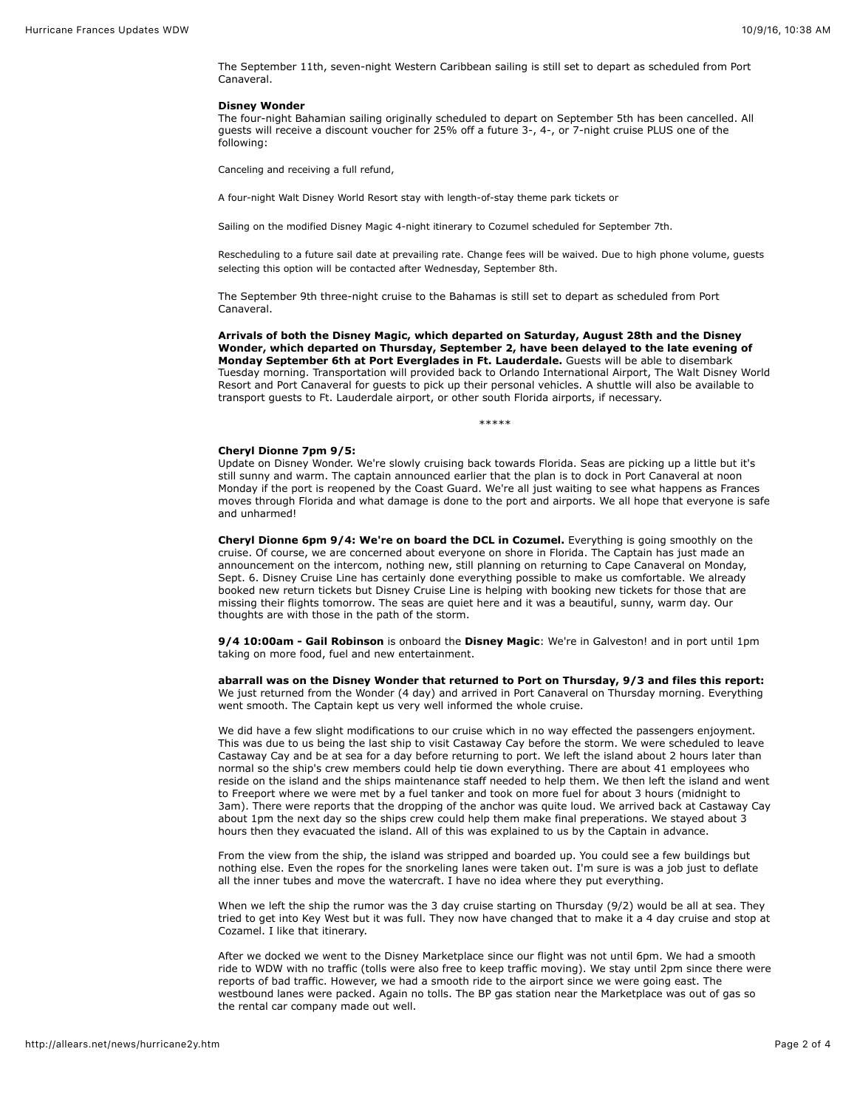The September 11th, seven-night Western Caribbean sailing is still set to depart as scheduled from Port Canaveral.

## **Disney Wonder**

The four-night Bahamian sailing originally scheduled to depart on September 5th has been cancelled. All guests will receive a discount voucher for 25% off a future 3-, 4-, or 7-night cruise PLUS one of the following:

Canceling and receiving a full refund,

A four-night Walt Disney World Resort stay with length-of-stay theme park tickets or

Sailing on the modified Disney Magic 4-night itinerary to Cozumel scheduled for September 7th.

Rescheduling to a future sail date at prevailing rate. Change fees will be waived. Due to high phone volume, guests selecting this option will be contacted after Wednesday, September 8th.

The September 9th three-night cruise to the Bahamas is still set to depart as scheduled from Port Canaveral.

**Arrivals of both the Disney Magic, which departed on Saturday, August 28th and the Disney Wonder, which departed on Thursday, September 2, have been delayed to the late evening of Monday September 6th at Port Everglades in Ft. Lauderdale.** Guests will be able to disembark Tuesday morning. Transportation will provided back to Orlando International Airport, The Walt Disney World Resort and Port Canaveral for guests to pick up their personal vehicles. A shuttle will also be available to transport guests to Ft. Lauderdale airport, or other south Florida airports, if necessary.

\*\*\*\*\*

## **Cheryl Dionne 7pm 9/5:**

Update on Disney Wonder. We're slowly cruising back towards Florida. Seas are picking up a little but it's still sunny and warm. The captain announced earlier that the plan is to dock in Port Canaveral at noon Monday if the port is reopened by the Coast Guard. We're all just waiting to see what happens as Frances moves through Florida and what damage is done to the port and airports. We all hope that everyone is safe and unharmed!

**Cheryl Dionne 6pm 9/4: We're on board the DCL in Cozumel.** Everything is going smoothly on the cruise. Of course, we are concerned about everyone on shore in Florida. The Captain has just made an announcement on the intercom, nothing new, still planning on returning to Cape Canaveral on Monday, Sept. 6. Disney Cruise Line has certainly done everything possible to make us comfortable. We already booked new return tickets but Disney Cruise Line is helping with booking new tickets for those that are missing their flights tomorrow. The seas are quiet here and it was a beautiful, sunny, warm day. Our thoughts are with those in the path of the storm.

**9/4 10:00am - Gail Robinson** is onboard the **Disney Magic**: We're in Galveston! and in port until 1pm taking on more food, fuel and new entertainment.

**abarrall was on the Disney Wonder that returned to Port on Thursday, 9/3 and files this report:** We just returned from the Wonder (4 day) and arrived in Port Canaveral on Thursday morning. Everything went smooth. The Captain kept us very well informed the whole cruise.

We did have a few slight modifications to our cruise which in no way effected the passengers enjoyment. This was due to us being the last ship to visit Castaway Cay before the storm. We were scheduled to leave Castaway Cay and be at sea for a day before returning to port. We left the island about 2 hours later than normal so the ship's crew members could help tie down everything. There are about 41 employees who reside on the island and the ships maintenance staff needed to help them. We then left the island and went to Freeport where we were met by a fuel tanker and took on more fuel for about 3 hours (midnight to 3am). There were reports that the dropping of the anchor was quite loud. We arrived back at Castaway Cay about 1pm the next day so the ships crew could help them make final preperations. We stayed about 3 hours then they evacuated the island. All of this was explained to us by the Captain in advance.

From the view from the ship, the island was stripped and boarded up. You could see a few buildings but nothing else. Even the ropes for the snorkeling lanes were taken out. I'm sure is was a job just to deflate all the inner tubes and move the watercraft. I have no idea where they put everything.

When we left the ship the rumor was the 3 day cruise starting on Thursday (9/2) would be all at sea. They tried to get into Key West but it was full. They now have changed that to make it a 4 day cruise and stop at Cozamel. I like that itinerary.

After we docked we went to the Disney Marketplace since our flight was not until 6pm. We had a smooth ride to WDW with no traffic (tolls were also free to keep traffic moving). We stay until 2pm since there were reports of bad traffic. However, we had a smooth ride to the airport since we were going east. The westbound lanes were packed. Again no tolls. The BP gas station near the Marketplace was out of gas so the rental car company made out well.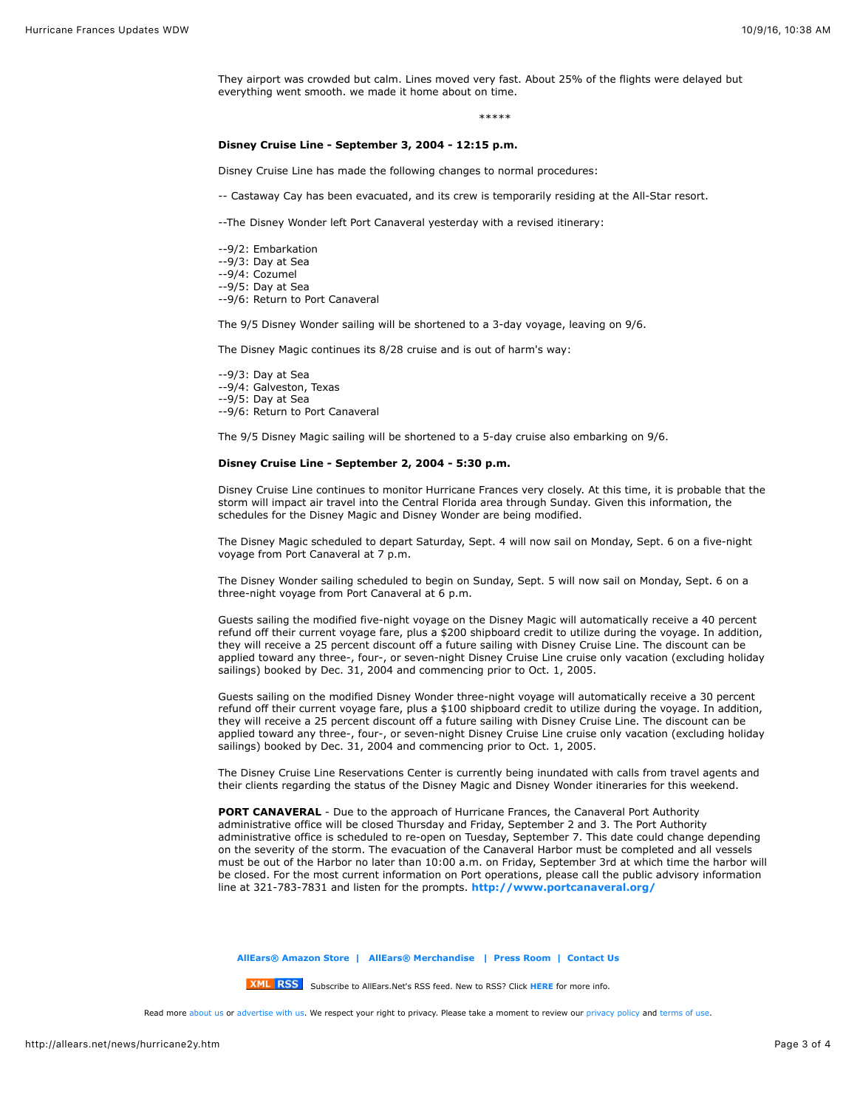They airport was crowded but calm. Lines moved very fast. About 25% of the flights were delayed but everything went smooth. we made it home about on time.

\*\*\*\*\*

## **Disney Cruise Line - September 3, 2004 - 12:15 p.m.**

Disney Cruise Line has made the following changes to normal procedures:

-- Castaway Cay has been evacuated, and its crew is temporarily residing at the All-Star resort.

--The Disney Wonder left Port Canaveral yesterday with a revised itinerary:

- --9/2: Embarkation
- --9/3: Day at Sea
- --9/4: Cozumel
- --9/5: Day at Sea
- --9/6: Return to Port Canaveral

The 9/5 Disney Wonder sailing will be shortened to a 3-day voyage, leaving on 9/6.

The Disney Magic continues its 8/28 cruise and is out of harm's way:

- --9/3: Day at Sea
- --9/4: Galveston, Texas
- --9/5: Day at Sea
- --9/6: Return to Port Canaveral

The 9/5 Disney Magic sailing will be shortened to a 5-day cruise also embarking on 9/6.

## **Disney Cruise Line - September 2, 2004 - 5:30 p.m.**

Disney Cruise Line continues to monitor Hurricane Frances very closely. At this time, it is probable that the storm will impact air travel into the Central Florida area through Sunday. Given this information, the schedules for the Disney Magic and Disney Wonder are being modified.

The Disney Magic scheduled to depart Saturday, Sept. 4 will now sail on Monday, Sept. 6 on a five-night voyage from Port Canaveral at 7 p.m.

The Disney Wonder sailing scheduled to begin on Sunday, Sept. 5 will now sail on Monday, Sept. 6 on a three-night voyage from Port Canaveral at 6 p.m.

Guests sailing the modified five-night voyage on the Disney Magic will automatically receive a 40 percent refund off their current voyage fare, plus a \$200 shipboard credit to utilize during the voyage. In addition, they will receive a 25 percent discount off a future sailing with Disney Cruise Line. The discount can be applied toward any three-, four-, or seven-night Disney Cruise Line cruise only vacation (excluding holiday sailings) booked by Dec. 31, 2004 and commencing prior to Oct. 1, 2005.

Guests sailing on the modified Disney Wonder three-night voyage will automatically receive a 30 percent refund off their current voyage fare, plus a \$100 shipboard credit to utilize during the voyage. In addition, they will receive a 25 percent discount off a future sailing with Disney Cruise Line. The discount can be applied toward any three-, four-, or seven-night Disney Cruise Line cruise only vacation (excluding holiday sailings) booked by Dec. 31, 2004 and commencing prior to Oct. 1, 2005.

The Disney Cruise Line Reservations Center is currently being inundated with calls from travel agents and their clients regarding the status of the Disney Magic and Disney Wonder itineraries for this weekend.

**PORT CANAVERAL** - Due to the approach of Hurricane Frances, the Canaveral Port Authority administrative office will be closed Thursday and Friday, September 2 and 3. The Port Authority administrative office is scheduled to re-open on Tuesday, September 7. This date could change depending on the severity of the storm. The evacuation of the Canaveral Harbor must be completed and all vessels must be out of the Harbor no later than 10:00 a.m. on Friday, September 3rd at which time the harbor will be closed. For the most current information on Port operations, please call the public advisory information line at 321-783-7831 and listen for the prompts. **<http://www.portcanaveral.org/>**

**[AllEars® Amazon Store](http://astore.amazon.com/debsunoffiwaltdi) | [AllEars® Merchandise](http://www.cafepress.com/allearsnet/8768138) | [Press Room](http://allears.net/press.htm) | [Contact Us](http://allears.net/forms/feedback.htm)**

**XML** RSS Subscribe to AllEars.Net's RSS feed. New to RSS? Click [HERE](http://allears.net/rss_desc.htm) for more info.

Read more [about us](http://allears.net/about.htm) or [advertise with us](http://allears.net/adv.htm). We respect your right to privacy. Please take a moment to review our [privacy policy](http://allears.net/privacy.htm) an[d terms of use.](http://allears.net/terms.htm)